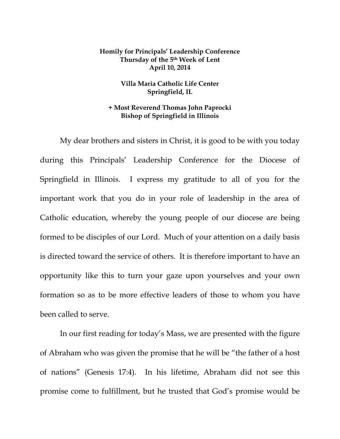## **Homily for Principals' Leadership Conference Thursday of the 5th Week of Lent April 10, 2014**

## **Villa Maria Catholic Life Center Springfield, IL**

## **+ Most Reverend Thomas John Paprocki Bishop of Springfield in Illinois**

My dear brothers and sisters in Christ, it is good to be with you today during this Principals' Leadership Conference for the Diocese of Springfield in Illinois. I express my gratitude to all of you for the important work that you do in your role of leadership in the area of Catholic education, whereby the young people of our diocese are being formed to be disciples of our Lord. Much of your attention on a daily basis is directed toward the service of others. It is therefore important to have an opportunity like this to turn your gaze upon yourselves and your own formation so as to be more effective leaders of those to whom you have been called to serve.

In our first reading for today's Mass, we are presented with the figure of Abraham who was given the promise that he will be "the father of a host of nations" (Genesis 17:4). In his lifetime, Abraham did not see this promise come to fulfillment, but he trusted that God's promise would be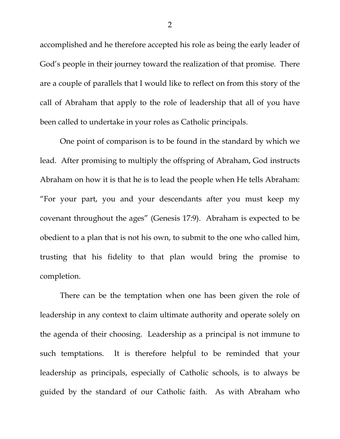accomplished and he therefore accepted his role as being the early leader of God's people in their journey toward the realization of that promise. There are a couple of parallels that I would like to reflect on from this story of the call of Abraham that apply to the role of leadership that all of you have been called to undertake in your roles as Catholic principals.

One point of comparison is to be found in the standard by which we lead. After promising to multiply the offspring of Abraham, God instructs Abraham on how it is that he is to lead the people when He tells Abraham: "For your part, you and your descendants after you must keep my covenant throughout the ages" (Genesis 17:9). Abraham is expected to be obedient to a plan that is not his own, to submit to the one who called him, trusting that his fidelity to that plan would bring the promise to completion.

There can be the temptation when one has been given the role of leadership in any context to claim ultimate authority and operate solely on the agenda of their choosing. Leadership as a principal is not immune to such temptations. It is therefore helpful to be reminded that your leadership as principals, especially of Catholic schools, is to always be guided by the standard of our Catholic faith. As with Abraham who

2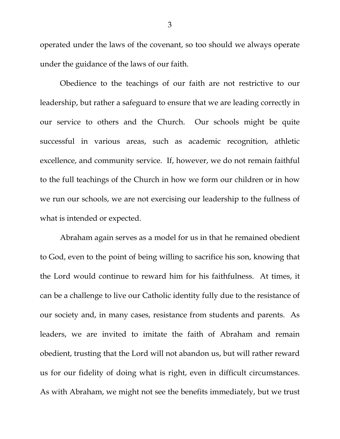operated under the laws of the covenant, so too should we always operate under the guidance of the laws of our faith.

Obedience to the teachings of our faith are not restrictive to our leadership, but rather a safeguard to ensure that we are leading correctly in our service to others and the Church. Our schools might be quite successful in various areas, such as academic recognition, athletic excellence, and community service. If, however, we do not remain faithful to the full teachings of the Church in how we form our children or in how we run our schools, we are not exercising our leadership to the fullness of what is intended or expected.

Abraham again serves as a model for us in that he remained obedient to God, even to the point of being willing to sacrifice his son, knowing that the Lord would continue to reward him for his faithfulness. At times, it can be a challenge to live our Catholic identity fully due to the resistance of our society and, in many cases, resistance from students and parents. As leaders, we are invited to imitate the faith of Abraham and remain obedient, trusting that the Lord will not abandon us, but will rather reward us for our fidelity of doing what is right, even in difficult circumstances. As with Abraham, we might not see the benefits immediately, but we trust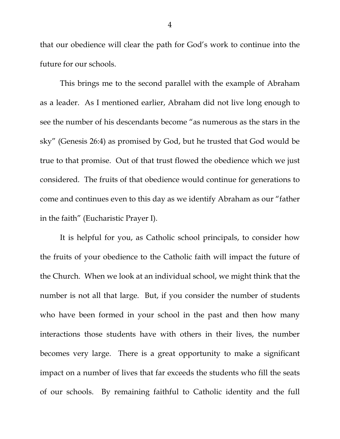that our obedience will clear the path for God's work to continue into the future for our schools.

This brings me to the second parallel with the example of Abraham as a leader. As I mentioned earlier, Abraham did not live long enough to see the number of his descendants become "as numerous as the stars in the sky" (Genesis 26:4) as promised by God, but he trusted that God would be true to that promise. Out of that trust flowed the obedience which we just considered. The fruits of that obedience would continue for generations to come and continues even to this day as we identify Abraham as our "father in the faith" (Eucharistic Prayer I).

It is helpful for you, as Catholic school principals, to consider how the fruits of your obedience to the Catholic faith will impact the future of the Church. When we look at an individual school, we might think that the number is not all that large. But, if you consider the number of students who have been formed in your school in the past and then how many interactions those students have with others in their lives, the number becomes very large. There is a great opportunity to make a significant impact on a number of lives that far exceeds the students who fill the seats of our schools. By remaining faithful to Catholic identity and the full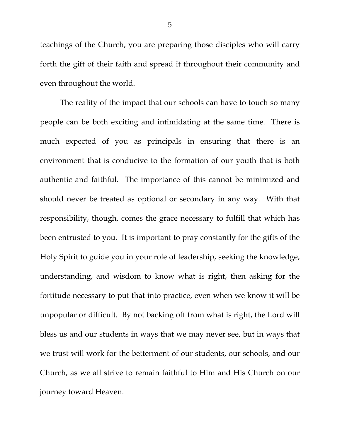teachings of the Church, you are preparing those disciples who will carry forth the gift of their faith and spread it throughout their community and even throughout the world.

The reality of the impact that our schools can have to touch so many people can be both exciting and intimidating at the same time. There is much expected of you as principals in ensuring that there is an environment that is conducive to the formation of our youth that is both authentic and faithful. The importance of this cannot be minimized and should never be treated as optional or secondary in any way. With that responsibility, though, comes the grace necessary to fulfill that which has been entrusted to you. It is important to pray constantly for the gifts of the Holy Spirit to guide you in your role of leadership, seeking the knowledge, understanding, and wisdom to know what is right, then asking for the fortitude necessary to put that into practice, even when we know it will be unpopular or difficult. By not backing off from what is right, the Lord will bless us and our students in ways that we may never see, but in ways that we trust will work for the betterment of our students, our schools, and our Church, as we all strive to remain faithful to Him and His Church on our journey toward Heaven.